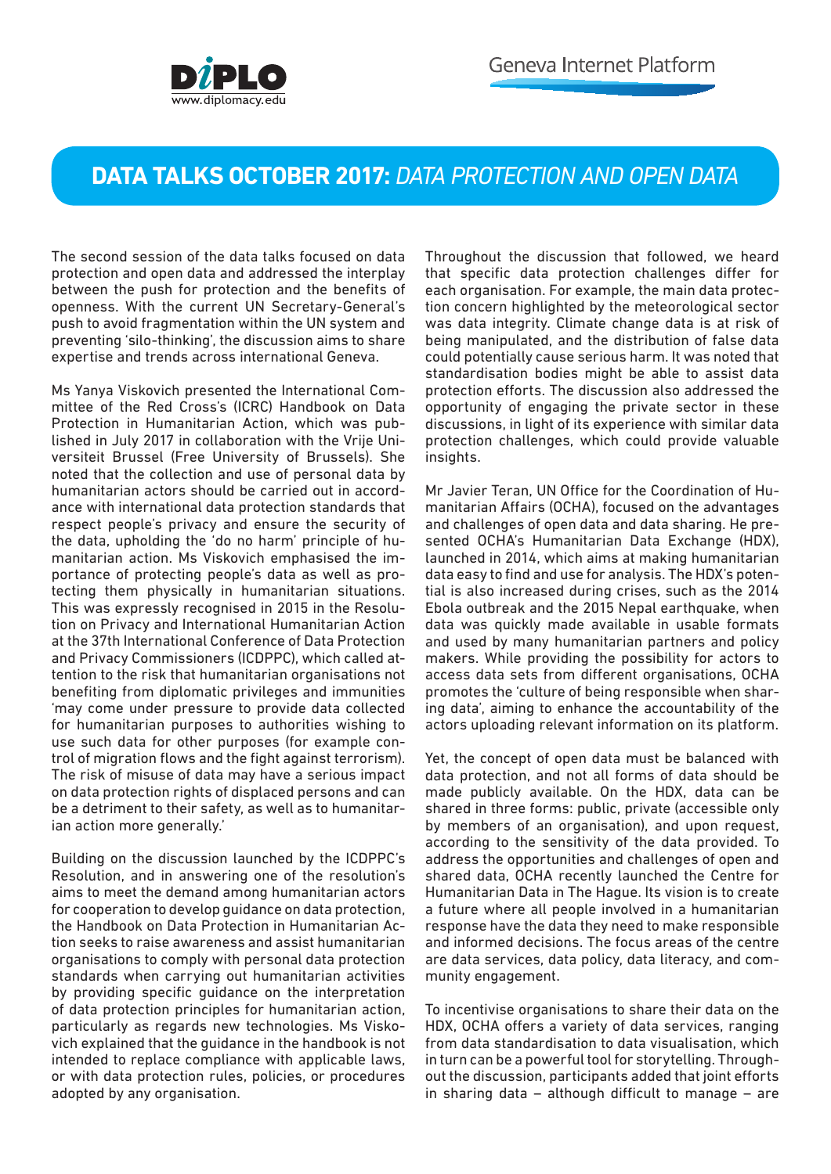

## **DATA TALKS OCTOBER 2017:** *DATA PROTECTION AND OPEN DATA*

The second session of the data talks focused on data protection and open data and addressed the interplay between the push for protection and the benefits of openness. With the current UN Secretary-General's push to avoid fragmentation within the UN system and preventing 'silo-thinking', the discussion aims to share expertise and trends across international Geneva.

Ms Yanya Viskovich presented the International Committee of the Red Cross's (ICRC) Handbook on Data Protection in Humanitarian Action, which was published in July 2017 in collaboration with the Vrije Universiteit Brussel (Free University of Brussels). She noted that the collection and use of personal data by humanitarian actors should be carried out in accordance with international data protection standards that respect people's privacy and ensure the security of the data, upholding the 'do no harm' principle of humanitarian action. Ms Viskovich emphasised the importance of protecting people's data as well as protecting them physically in humanitarian situations. This was expressly recognised in 2015 in the Resolution on Privacy and International Humanitarian Action at the 37th International Conference of Data Protection and Privacy Commissioners (ICDPPC), which called attention to the risk that humanitarian organisations not benefiting from diplomatic privileges and immunities 'may come under pressure to provide data collected for humanitarian purposes to authorities wishing to use such data for other purposes (for example control of migration flows and the fight against terrorism). The risk of misuse of data may have a serious impact on data protection rights of displaced persons and can be a detriment to their safety, as well as to humanitarian action more generally.'

Building on the discussion launched by the ICDPPC's Resolution, and in answering one of the resolution's aims to meet the demand among humanitarian actors for cooperation to develop guidance on data protection, the Handbook on Data Protection in Humanitarian Action seeks to raise awareness and assist humanitarian organisations to comply with personal data protection standards when carrying out humanitarian activities by providing specific guidance on the interpretation of data protection principles for humanitarian action, particularly as regards new technologies. Ms Viskovich explained that the guidance in the handbook is not intended to replace compliance with applicable laws, or with data protection rules, policies, or procedures adopted by any organisation.

Throughout the discussion that followed, we heard that specific data protection challenges differ for each organisation. For example, the main data protection concern highlighted by the meteorological sector was data integrity. Climate change data is at risk of being manipulated, and the distribution of false data could potentially cause serious harm. It was noted that standardisation bodies might be able to assist data protection efforts. The discussion also addressed the opportunity of engaging the private sector in these discussions, in light of its experience with similar data protection challenges, which could provide valuable insights.

Mr Javier Teran, UN Office for the Coordination of Humanitarian Affairs (OCHA), focused on the advantages and challenges of open data and data sharing. He presented OCHA's Humanitarian Data Exchange (HDX), launched in 2014, which aims at making humanitarian data easy to find and use for analysis. The HDX's potential is also increased during crises, such as the 2014 Ebola outbreak and the 2015 Nepal earthquake, when data was quickly made available in usable formats and used by many humanitarian partners and policy makers. While providing the possibility for actors to access data sets from different organisations, OCHA promotes the 'culture of being responsible when sharing data', aiming to enhance the accountability of the actors uploading relevant information on its platform.

Yet, the concept of open data must be balanced with data protection, and not all forms of data should be made publicly available. On the HDX, data can be shared in three forms: public, private (accessible only by members of an organisation), and upon request, according to the sensitivity of the data provided. To address the opportunities and challenges of open and shared data, OCHA recently launched the Centre for Humanitarian Data in The Hague. Its vision is to create a future where all people involved in a humanitarian response have the data they need to make responsible and informed decisions. The focus areas of the centre are data services, data policy, data literacy, and community engagement.

To incentivise organisations to share their data on the HDX, OCHA offers a variety of data services, ranging from data standardisation to data visualisation, which in turn can be a powerful tool for storytelling. Throughout the discussion, participants added that joint efforts in sharing data – although difficult to manage – are